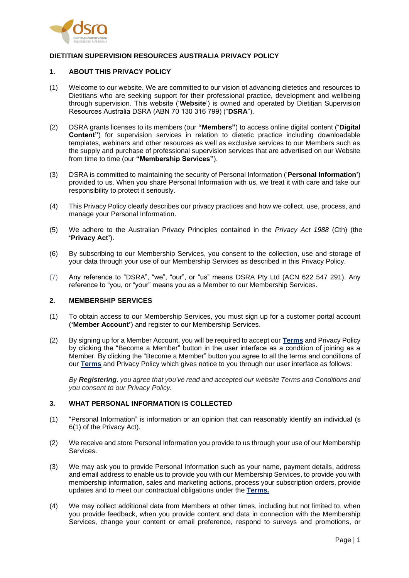

# **DIETITIAN SUPERVISION RESOURCES AUSTRALIA PRIVACY POLICY**

## **1. ABOUT THIS PRIVACY POLICY**

- (1) Welcome to our website. We are committed to our vision of advancing dietetics and resources to Dietitians who are seeking support for their professional practice, development and wellbeing through supervision. This website ('**Website**') is owned and operated by Dietitian Supervision Resources Australia DSRA (ABN 70 130 316 799) ("**DSRA**").
- (2) DSRA grants licenses to its members (our **"Members"**) to access online digital content ("**Digital Content"**) for supervision services in relation to dietetic practice including downloadable templates, webinars and other resources as well as exclusive services to our Members such as the supply and purchase of professional supervision services that are advertised on our Website from time to time (our **"Membership Services"**).
- (3) DSRA is committed to maintaining the security of Personal Information ('**Personal Information'**) provided to us. When you share Personal Information with us, we treat it with care and take our responsibility to protect it seriously.
- (4) This Privacy Policy clearly describes our privacy practices and how we collect, use, process, and manage your Personal Information.
- (5) We adhere to the Australian Privacy Principles contained in the *Privacy Act 1988* (Cth) (the **'Privacy Act'**).
- (6) By subscribing to our Membership Services, you consent to the collection, use and storage of your data through your use of our Membership Services as described in this Privacy Policy.
- (7) Any reference to "DSRA", "we", "our", or "us" means DSRA Pty Ltd (ACN 622 547 291). Any reference to "you, or "your" means you as a Member to our Membership Services.

#### **2. MEMBERSHIP SERVICES**

- (1) To obtain access to our Membership Services, you must sign up for a customer portal account (**'Member Account'**) and register to our Membership Services.
- (2) By signing up for a Member Account, you will be required to accept our **Terms** and Privacy Policy by clicking the "Become a Member" button in the user interface as a condition of joining as a Member. By clicking the "Become a Member" button you agree to all the terms and conditions of our **Terms** and Privacy Policy which gives notice to you through our user interface as follows:

*By Registering, you agree that you've read and accepted our website Terms and Conditions and you consent to our Privacy Policy.*

### **3. WHAT PERSONAL INFORMATION IS COLLECTED**

- (1) "Personal Information" is information or an opinion that can reasonably identify an individual (s 6(1) of the Privacy Act).
- (2) We receive and store Personal Information you provide to us through your use of our Membership Services.
- (3) We may ask you to provide Personal Information such as your name, payment details, address and email address to enable us to provide you with our Membership Services, to provide you with membership information, sales and marketing actions, process your subscription orders, provide updates and to meet our contractual obligations under the **Terms.**
- (4) We may collect additional data from Members at other times, including but not limited to, when you provide feedback, when you provide content and data in connection with the Membership Services, change your content or email preference, respond to surveys and promotions, or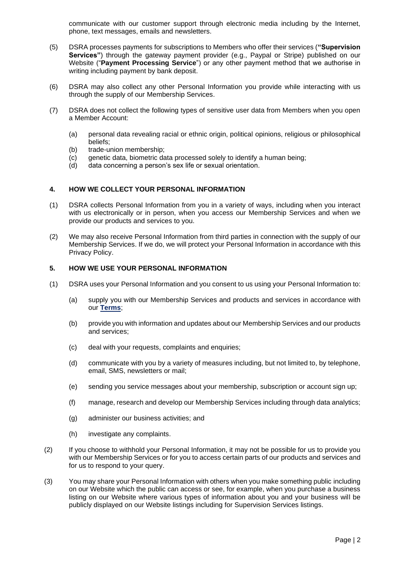communicate with our customer support through electronic media including by the Internet, phone, text messages, emails and newsletters.

- (5) DSRA processes payments for subscriptions to Members who offer their services (**"Supervision Services"**) through the gateway payment provider (e.g., Paypal or Stripe) published on our Website ("**Payment Processing Service**") or any other payment method that we authorise in writing including payment by bank deposit.
- (6) DSRA may also collect any other Personal Information you provide while interacting with us through the supply of our Membership Services.
- (7) DSRA does not collect the following types of sensitive user data from Members when you open a Member Account:
	- (a) personal data revealing racial or ethnic origin, political opinions, religious or philosophical beliefs;
	- (b) trade-union membership;
	- (c) genetic data, biometric data processed solely to identify a human being;
	- (d) data concerning a person's sex life or sexual orientation.

#### **4. HOW WE COLLECT YOUR PERSONAL INFORMATION**

- (1) DSRA collects Personal Information from you in a variety of ways, including when you interact with us electronically or in person, when you access our Membership Services and when we provide our products and services to you.
- (2) We may also receive Personal Information from third parties in connection with the supply of our Membership Services. If we do, we will protect your Personal Information in accordance with this Privacy Policy.

## **5. HOW WE USE YOUR PERSONAL INFORMATION**

- (1) DSRA uses your Personal Information and you consent to us using your Personal Information to:
	- (a) supply you with our Membership Services and products and services in accordance with our **Terms**;
	- (b) provide you with information and updates about our Membership Services and our products and services;
	- (c) deal with your requests, complaints and enquiries;
	- (d) communicate with you by a variety of measures including, but not limited to, by telephone, email, SMS, newsletters or mail;
	- (e) sending you service messages about your membership, subscription or account sign up;
	- (f) manage, research and develop our Membership Services including through data analytics;
	- (g) administer our business activities; and
	- (h) investigate any complaints.
- (2) If you choose to withhold your Personal Information, it may not be possible for us to provide you with our Membership Services or for you to access certain parts of our products and services and for us to respond to your query.
- (3) You may share your Personal Information with others when you make something public including on our Website which the public can access or see, for example, when you purchase a business listing on our Website where various types of information about you and your business will be publicly displayed on our Website listings including for Supervision Services listings.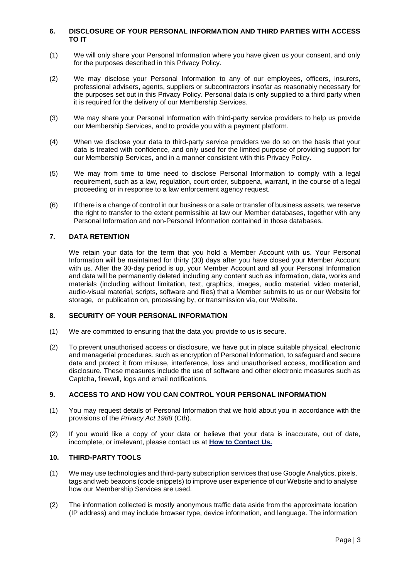### **6. DISCLOSURE OF YOUR PERSONAL INFORMATION AND THIRD PARTIES WITH ACCESS TO IT**

- (1) We will only share your Personal Information where you have given us your consent, and only for the purposes described in this Privacy Policy.
- (2) We may disclose your Personal Information to any of our employees, officers, insurers, professional advisers, agents, suppliers or subcontractors insofar as reasonably necessary for the purposes set out in this Privacy Policy. Personal data is only supplied to a third party when it is required for the delivery of our Membership Services.
- (3) We may share your Personal Information with third-party service providers to help us provide our Membership Services, and to provide you with a payment platform.
- (4) When we disclose your data to third-party service providers we do so on the basis that your data is treated with confidence, and only used for the limited purpose of providing support for our Membership Services, and in a manner consistent with this Privacy Policy.
- (5) We may from time to time need to disclose Personal Information to comply with a legal requirement, such as a law, regulation, court order, subpoena, warrant, in the course of a legal proceeding or in response to a law enforcement agency request.
- (6) If there is a change of control in our business or a sale or transfer of business assets, we reserve the right to transfer to the extent permissible at law our Member databases, together with any Personal Information and non-Personal Information contained in those databases.

## **7. DATA RETENTION**

We retain your data for the term that you hold a Member Account with us. Your Personal Information will be maintained for thirty (30) days after you have closed your Member Account with us. After the 30-day period is up, your Member Account and all your Personal Information and data will be permanently deleted including any content such as information, data, works and materials (including without limitation, text, graphics, images, audio material, video material, audio-visual material, scripts, software and files) that a Member submits to us or our Website for storage, or publication on, processing by, or transmission via, our Website.

# **8. SECURITY OF YOUR PERSONAL INFORMATION**

- (1) We are committed to ensuring that the data you provide to us is secure.
- (2) To prevent unauthorised access or disclosure, we have put in place suitable physical, electronic and managerial procedures, such as encryption of Personal Information, to safeguard and secure data and protect it from misuse, interference, loss and unauthorised access, modification and disclosure. These measures include the use of software and other electronic measures such as Captcha, firewall, logs and email notifications.

## **9. ACCESS TO AND HOW YOU CAN CONTROL YOUR PERSONAL INFORMATION**

- (1) You may request details of Personal Information that we hold about you in accordance with the provisions of the *Privacy Act 1988* (Cth).
- (2) If you would like a copy of your data or believe that your data is inaccurate, out of date, incomplete, or irrelevant, please contact us at **How to Contact Us.**

## **10. THIRD-PARTY TOOLS**

- (1) We may use technologies and third-party subscription services that use Google Analytics, pixels, tags and web beacons (code snippets) to improve user experience of our Website and to analyse how our Membership Services are used.
- (2) The information collected is mostly anonymous traffic data aside from the approximate location (IP address) and may include browser type, device information, and language. The information